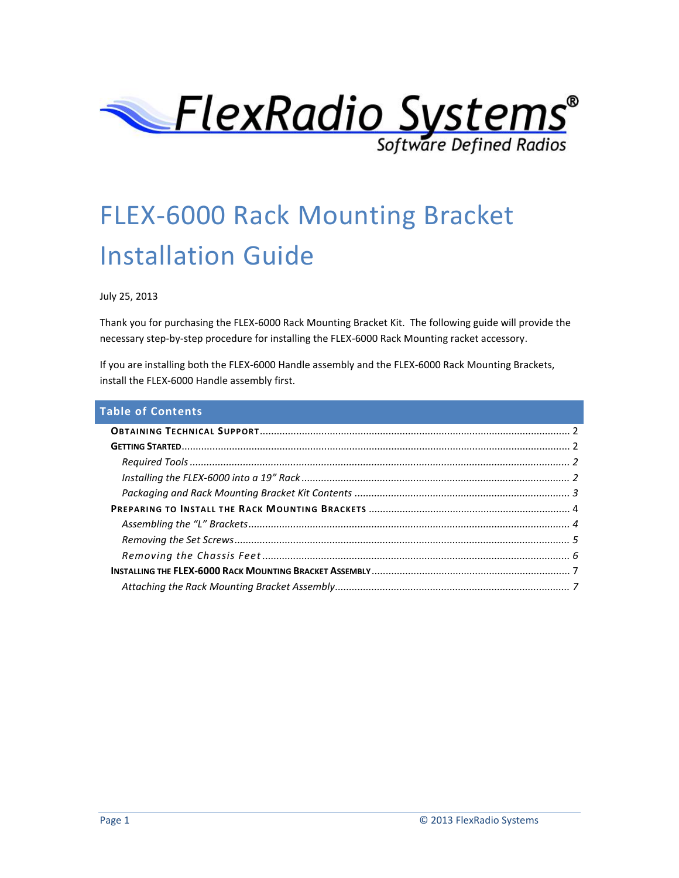

# FLEX-6000 Rack Mounting Bracket Installation Guide

July 25, 2013

Thank you for purchasing the FLEX-6000 Rack Mounting Bracket Kit. The following guide will provide the necessary step-by-step procedure for installing the FLEX-6000 Rack Mounting racket accessory.

If you are installing both the FLEX-6000 Handle assembly and the FLEX-6000 Rack Mounting Brackets, install the FLEX-6000 Handle assembly first.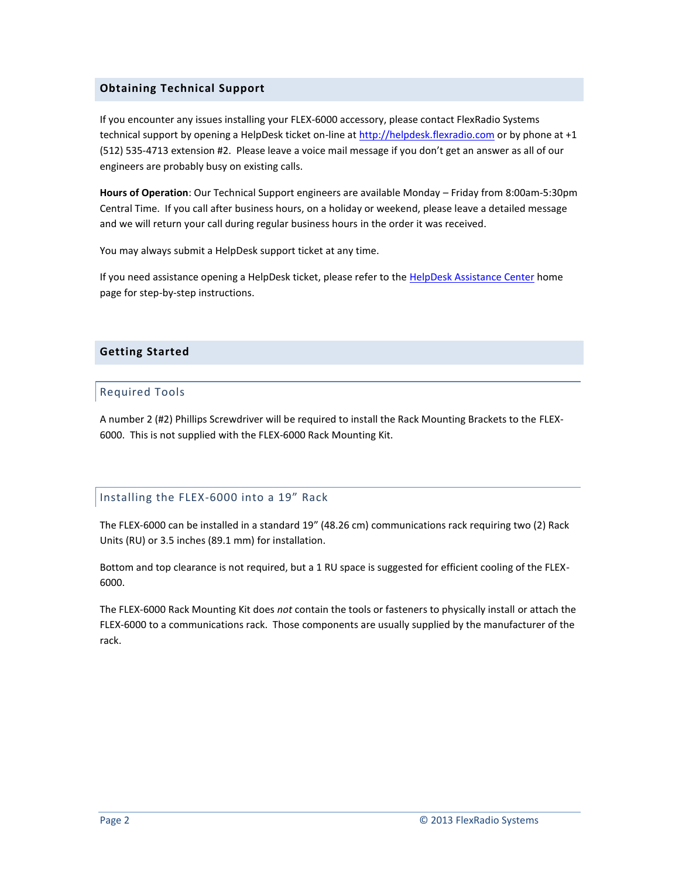#### <span id="page-1-0"></span>**Obtaining Technical Support**

If you encounter any issues installing your FLEX-6000 accessory, please contact FlexRadio Systems technical support by opening a HelpDesk ticket on-line at [http://helpdesk.flexradio.com](http://helpdesk.flexradio.com/) or by phone at +1 (512) 535-4713 extension #2. Please leave a voice mail message if you don't get an answer as all of our engineers are probably busy on existing calls.

**Hours of Operation**: Our Technical Support engineers are available Monday – Friday from 8:00am-5:30pm Central Time. If you call after business hours, on a holiday or weekend, please leave a detailed message and we will return your call during regular business hours in the order it was received.

You may always submit a HelpDesk support ticket at any time.

If you need assistance opening a HelpDesk ticket, please refer to the [HelpDesk Assistance Center](http://helpdesk.flexradio.com/home) home page for step-by-step instructions.

#### <span id="page-1-2"></span><span id="page-1-1"></span>**Getting Started**

#### Required Tools

A number 2 (#2) Phillips Screwdriver will be required to install the Rack Mounting Brackets to the FLEX-6000. This is not supplied with the FLEX-6000 Rack Mounting Kit.

### <span id="page-1-3"></span>Installing the FLEX-6000 into a 19" Rack

The FLEX-6000 can be installed in a standard 19" (48.26 cm) communications rack requiring two (2) Rack Units (RU) or 3.5 inches (89.1 mm) for installation.

Bottom and top clearance is not required, but a 1 RU space is suggested for efficient cooling of the FLEX-6000.

The FLEX-6000 Rack Mounting Kit does *not* contain the tools or fasteners to physically install or attach the FLEX-6000 to a communications rack. Those components are usually supplied by the manufacturer of the rack.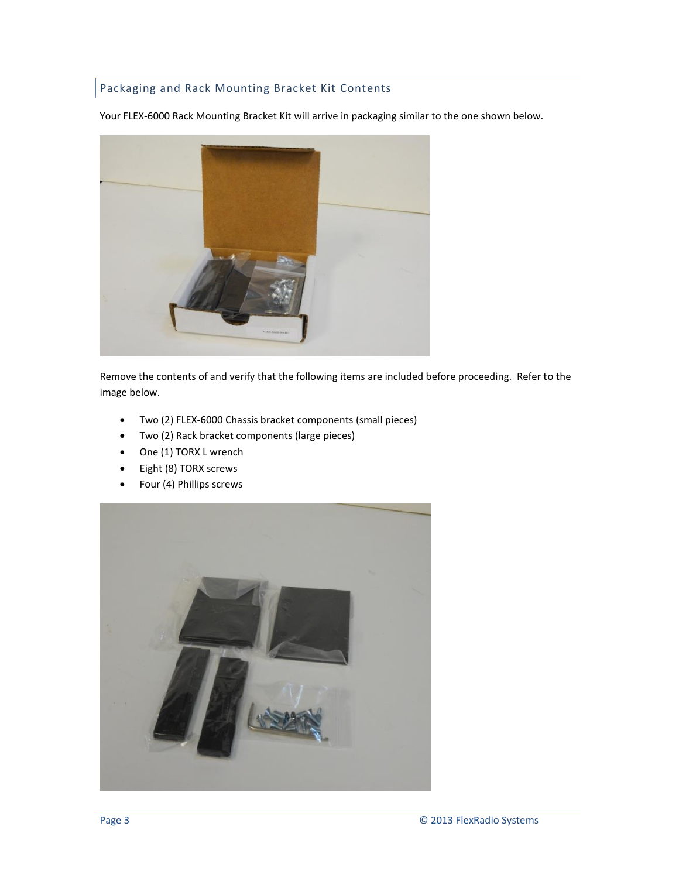## <span id="page-2-0"></span>Packaging and Rack Mounting Bracket Kit Contents

Your FLEX-6000 Rack Mounting Bracket Kit will arrive in packaging similar to the one shown below.



Remove the contents of and verify that the following items are included before proceeding. Refer to the image below.

- Two (2) FLEX-6000 Chassis bracket components (small pieces)
- Two (2) Rack bracket components (large pieces)
- One (1) TORX L wrench
- Eight (8) TORX screws
- Four (4) Phillips screws

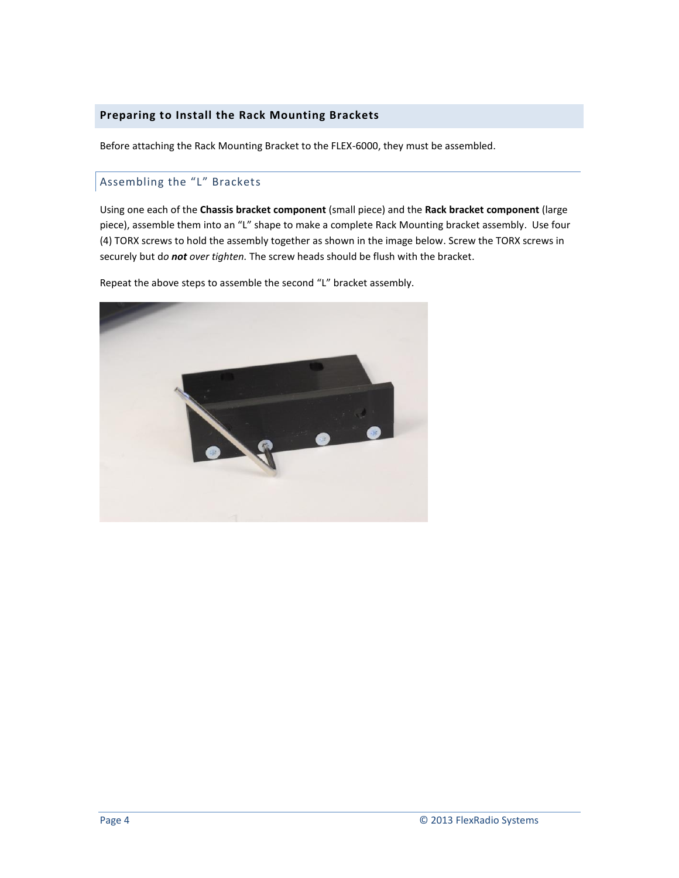#### <span id="page-3-0"></span>**Preparing to Install the Rack Mounting Brackets**

Before attaching the Rack Mounting Bracket to the FLEX-6000, they must be assembled.

#### <span id="page-3-1"></span>Assembling the "L" Brackets

Using one each of the **Chassis bracket component** (small piece) and the **Rack bracket component** (large piece), assemble them into an "L" shape to make a complete Rack Mounting bracket assembly. Use four (4) TORX screws to hold the assembly together as shown in the image below. Screw the TORX screws in securely but d*o not over tighten.* The screw heads should be flush with the bracket.

Repeat the above steps to assemble the second "L" bracket assembly.

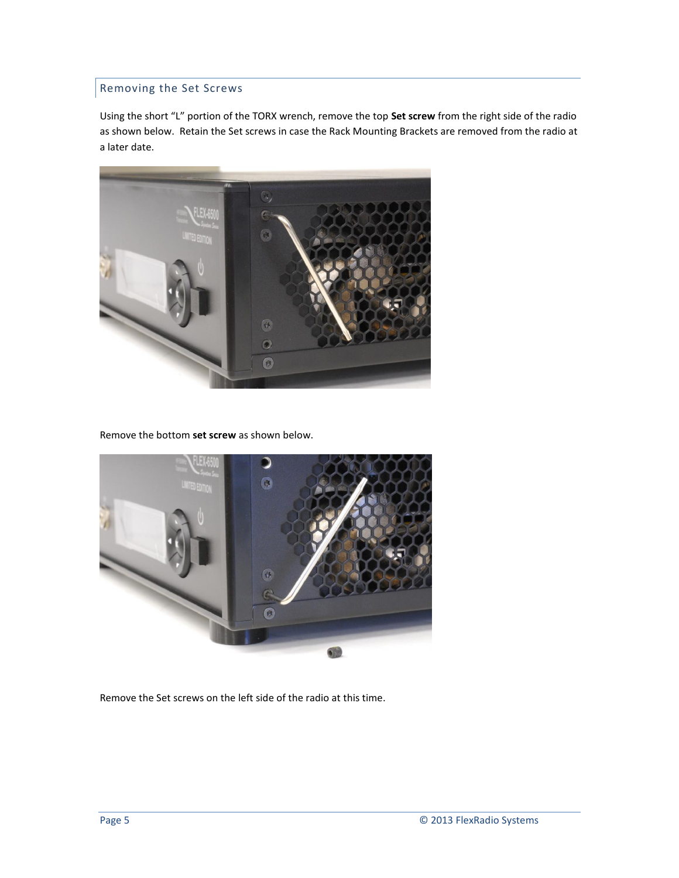## <span id="page-4-0"></span>Removing the Set Screws

Using the short "L" portion of the TORX wrench, remove the top **Set screw** from the right side of the radio as shown below. Retain the Set screws in case the Rack Mounting Brackets are removed from the radio at a later date.



Remove the bottom **set screw** as shown below.



Remove the Set screws on the left side of the radio at this time.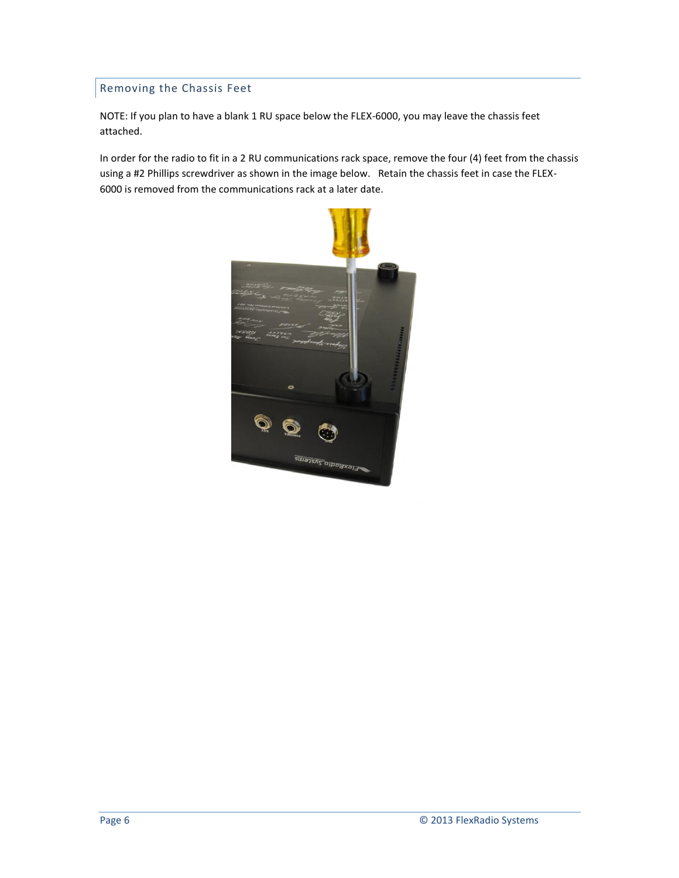## <span id="page-5-0"></span>Removing the Chassis Feet

NOTE: If you plan to have a blank 1 RU space below the FLEX-6000, you may leave the chassis feet attached.

In order for the radio to fit in a 2 RU communications rack space, remove the four (4) feet from the chassis using a #2 Phillips screwdriver as shown in the image below. Retain the chassis feet in case the FLEX-6000 is removed from the communications rack at a later date.

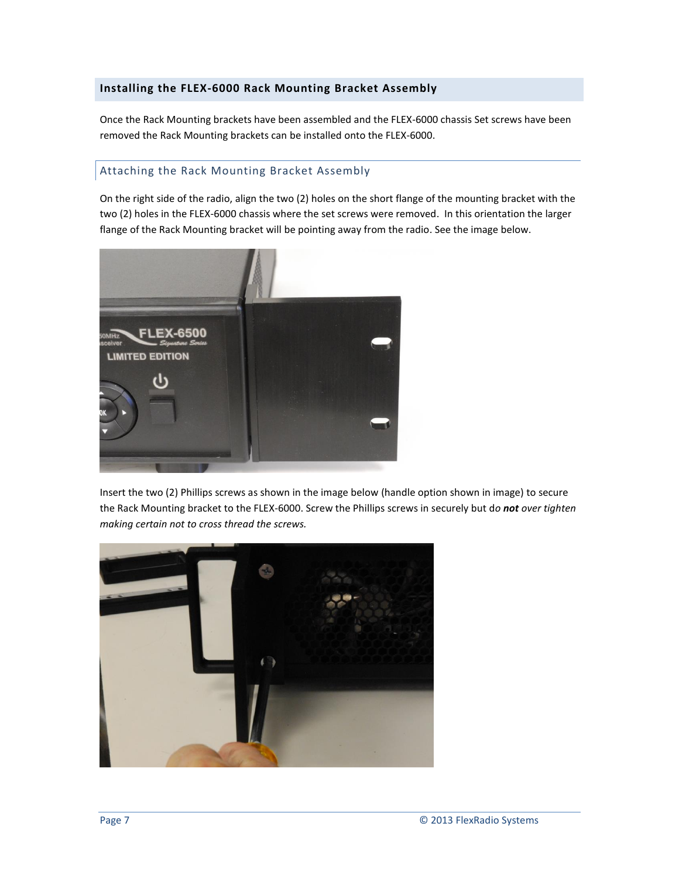#### <span id="page-6-0"></span>**Installing the FLEX-6000 Rack Mounting Bracket Assembly**

Once the Rack Mounting brackets have been assembled and the FLEX-6000 chassis Set screws have been removed the Rack Mounting brackets can be installed onto the FLEX-6000.

#### <span id="page-6-1"></span>Attaching the Rack Mounting Bracket Assembly

On the right side of the radio, align the two (2) holes on the short flange of the mounting bracket with the two (2) holes in the FLEX-6000 chassis where the set screws were removed. In this orientation the larger flange of the Rack Mounting bracket will be pointing away from the radio. See the image below.



Insert the two (2) Phillips screws as shown in the image below (handle option shown in image) to secure the Rack Mounting bracket to the FLEX-6000. Screw the Phillips screws in securely but d*o not over tighten making certain not to cross thread the screws.*